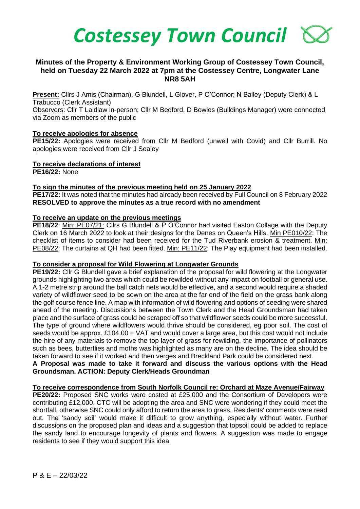

# **Minutes of the Property & Environment Working Group of Costessey Town Council, held on Tuesday 22 March 2022 at 7pm at the Costessey Centre, Longwater Lane NR8 5AH**

**Present:** Cllrs J Amis (Chairman), G Blundell, L Glover, P O'Connor; N Bailey (Deputy Clerk) & L Trabucco (Clerk Assistant)

Observers: Cllr T Laidlaw in-person; Cllr M Bedford, D Bowles (Buildings Manager) were connected via Zoom as members of the public

### **To receive apologies for absence**

**PE15/22:** Apologies were received from Cllr M Bedford (unwell with Covid) and Cllr Burrill. No apologies were received from Cllr J Sealey

# **To receive declarations of interest**

**PE16/22:** None

# **To sign the minutes of the previous meeting held on 25 January 2022**

**PE17/22:** It was noted that the minutes had already been received by Full Council on 8 February 2022 **RESOLVED to approve the minutes as a true record with no amendment**

### **To receive an update on the previous meetings**

**PE18/22:** Min: PE07/21: Cllrs G Blundell & P O'Connor had visited Easton Collage with the Deputy Clerk on 16 March 2022 to look at their designs for the Denes on Queen's Hills. Min PE010/22: The checklist of items to consider had been received for the Tud Riverbank erosion & treatment. Min: PE08/22: The curtains at QH had been fitted. Min: PE11/22: The Play equipment had been installed.

### **To consider a proposal for Wild Flowering at Longwater Grounds**

**PE19/22:** Cllr G Blundell gave a brief explanation of the proposal for wild flowering at the Longwater grounds highlighting two areas which could be rewilded without any impact on football or general use. A 1-2 metre strip around the ball catch nets would be effective, and a second would require a shaded variety of wildflower seed to be sown on the area at the far end of the field on the grass bank along the golf course fence line. A map with information of wild flowering and options of seeding were shared ahead of the meeting. Discussions between the Town Clerk and the Head Groundsman had taken place and the surface of grass could be scraped off so that wildflower seeds could be more successful. The type of ground where wildflowers would thrive should be considered, eg poor soil. The cost of seeds would be approx. £104.00 + VAT and would cover a large area, but this cost would not include the hire of any materials to remove the top layer of grass for rewilding. the importance of pollinators such as bees, butterflies and moths was highlighted as many are on the decline. The idea should be taken forward to see if it worked and then verges and Breckland Park could be considered next.

# **A Proposal was made to take it forward and discuss the various options with the Head Groundsman. ACTION: Deputy Clerk/Heads Groundman**

# **To receive correspondence from South Norfolk Council re: Orchard at Maze Avenue/Fairway**

**PE20/22:** Proposed SNC works were costed at £25,000 and the Consortium of Developers were contributing £12,000. CTC will be adopting the area and SNC were wondering if they could meet the shortfall, otherwise SNC could only afford to return the area to grass. Residents' comments were read out. The 'sandy soil' would make it difficult to grow anything, especially without water. Further discussions on the proposed plan and ideas and a suggestion that topsoil could be added to replace the sandy land to encourage longevity of plants and flowers. A suggestion was made to engage residents to see if they would support this idea.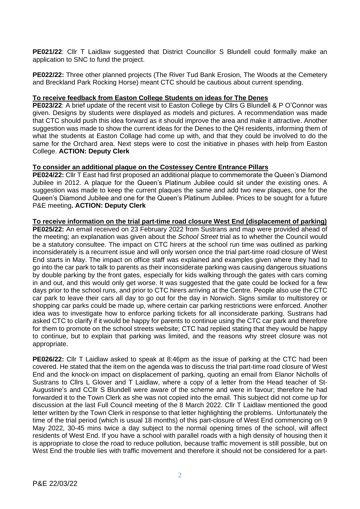**PE021/22:** Cllr T Laidlaw suggested that District Councillor S Blundell could formally make an application to SNC to fund the project.

**PE022/22:** Three other planned projects (The River Tud Bank Erosion, The Woods at the Cemetery and Breckland Park Rocking Horse) meant CTC should be cautious about current spending.

# **To receive feedback from Easton College Students on ideas for The Denes**

**PE023/22**: A brief update of the recent visit to Easton College by Cllrs G Blundell & P O'Connor was given. Designs by students were displayed as models and pictures. A recommendation was made that CTC should push this idea forward as it should improve the area and make it attractive. Another suggestion was made to show the current ideas for the Denes to the QH residents, informing them of what the students at Easton Collage had come up with, and that they could be involved to do the same for the Orchard area. Next steps were to cost the initiative in phases with help from Easton College. **ACTION: Deputy Clerk**

# **To consider an additional plaque on the Costessey Centre Entrance Pillars**

**PE024/22:** Cllr T East had first proposed an additional plaque to commemorate the Queen's Diamond Jubilee in 2012. A plaque for the Queen's Platinum Jubilee could sit under the existing ones. A suggestion was made to keep the current plaques the same and add two new plaques, one for the Queen's Diamond Jubilee and one for the Queen's Platinum Jubilee. Prices to be sought for a future P&E meeting**. ACTION: Deputy Clerk**

# **To receive information on the trial part-time road closure West End (displacement of parking)**

**PE025/22:** An email received on 23 February 2022 from Sustrans and map were provided ahead of the meeting; an explanation was given about the *School Street* trial as to whether the Council would be a statutory consultee. The impact on CTC hirers at the school run time was outlined as parking inconsiderately is a recurrent issue and will only worsen once the trial part-time road closure of West End starts in May. The impact on office staff was explained and examples given where they had to go into the car park to talk to parents as their inconsiderate parking was causing dangerous situations by double parking by the front gates, especially for kids walking through the gates with cars coming in and out, and this would only get worse. It was suggested that the gate could be locked for a few days prior to the school runs, and prior to CTC hirers arriving at the Centre. People also use the CTC car park to leave their cars all day to go out for the day in Norwich. Signs similar to multistorey or shopping car parks could be made up, where certain car parking restrictions were enforced. Another idea was to investigate how to enforce parking tickets for all inconsiderate parking. Sustrans had asked CTC to clarify if it would be happy for parents to continue using the CTC car park and therefore for them to promote on the school streets website; CTC had replied stating that they would be happy to continue, but to explain that parking was limited, and the reasons why street closure was not appropriate.

**PE026/22:** Cllr T Laidlaw asked to speak at 8:46pm as the issue of parking at the CTC had been covered. He stated that the item on the agenda was to discuss the trial part-time road closure of West End and the knock-on impact on displacement of parking, quoting an email from Elanor Nicholls of Sustrans to Cllrs L Glover and T Laidlaw, where a copy of a letter from the Head teacher of St-Augustine's and CCllr S Blundell were aware of the scheme and were in favour; therefore he had forwarded it to the Town Clerk as she was not copied into the email. This subject did not come up for discussion at the last Full Council meeting of the 8 March 2022. Cllr T Laidlaw mentioned the good letter written by the Town Clerk in response to that letter highlighting the problems. Unfortunately the time of the trial period (which is usual 18 months) of this part-closure of West End commencing on 9 May 2022, 30-45 mins twice a day subject to the normal opening times of the school, will affect residents of West End. If you have a school with parallel roads with a high density of housing then it is appropriate to close the road to reduce pollution, because traffic movement is still possible, but on West End the trouble lies with traffic movement and therefore it should not be considered for a part